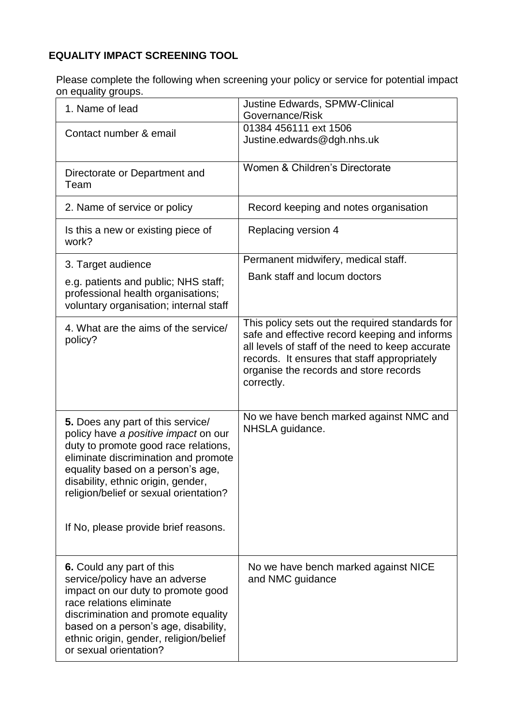## **EQUALITY IMPACT SCREENING TOOL**

Please complete the following when screening your policy or service for potential impact on equality groups.

| on oquality groups.                                                                                                                                                                                                                                                                                                    |                                                                                                                                                                                                                                                              |
|------------------------------------------------------------------------------------------------------------------------------------------------------------------------------------------------------------------------------------------------------------------------------------------------------------------------|--------------------------------------------------------------------------------------------------------------------------------------------------------------------------------------------------------------------------------------------------------------|
| 1. Name of lead                                                                                                                                                                                                                                                                                                        | Justine Edwards, SPMW-Clinical<br>Governance/Risk                                                                                                                                                                                                            |
| Contact number & email                                                                                                                                                                                                                                                                                                 | 01384 456111 ext 1506<br>Justine.edwards@dgh.nhs.uk                                                                                                                                                                                                          |
| Directorate or Department and<br>Team                                                                                                                                                                                                                                                                                  | Women & Children's Directorate                                                                                                                                                                                                                               |
| 2. Name of service or policy                                                                                                                                                                                                                                                                                           | Record keeping and notes organisation                                                                                                                                                                                                                        |
| Is this a new or existing piece of<br>work?                                                                                                                                                                                                                                                                            | Replacing version 4                                                                                                                                                                                                                                          |
| 3. Target audience                                                                                                                                                                                                                                                                                                     | Permanent midwifery, medical staff.                                                                                                                                                                                                                          |
| e.g. patients and public; NHS staff;<br>professional health organisations;<br>voluntary organisation; internal staff                                                                                                                                                                                                   | Bank staff and locum doctors                                                                                                                                                                                                                                 |
| 4. What are the aims of the service/<br>policy?                                                                                                                                                                                                                                                                        | This policy sets out the required standards for<br>safe and effective record keeping and informs<br>all levels of staff of the need to keep accurate<br>records. It ensures that staff appropriately<br>organise the records and store records<br>correctly. |
| 5. Does any part of this service/<br>policy have a positive impact on our<br>duty to promote good race relations,<br>eliminate discrimination and promote<br>equality based on a person's age,<br>disability, ethnic origin, gender,<br>religion/belief or sexual orientation?<br>If No, please provide brief reasons. | No we have bench marked against NMC and<br>NHSLA guidance.                                                                                                                                                                                                   |
| 6. Could any part of this<br>service/policy have an adverse<br>impact on our duty to promote good<br>race relations eliminate<br>discrimination and promote equality<br>based on a person's age, disability,<br>ethnic origin, gender, religion/belief<br>or sexual orientation?                                       | No we have bench marked against NICE<br>and NMC guidance                                                                                                                                                                                                     |